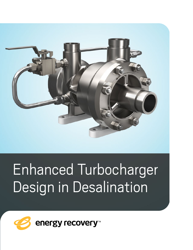

# Enhanced Turbocharger Design in Desalination

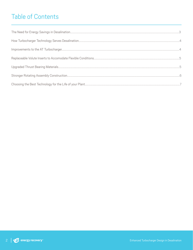### **Table of Contents**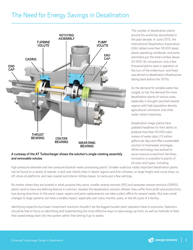### <span id="page-2-0"></span>The Need for Energy Savings in Desalination



#### A cutaway of the AT Turbocharger shows the solution's single rotating assembly and removable volutes

The number of desalination plants around the world has skyrocketed in the past decade. In June 2015, the International Desalination Association (IDA) tallied more than 18,000 desal plants operating worldwide, and some estimates put the total number above 20,000. By comparison, only a few thousand plants were in operation at the turn of the millennium, and there was almost no desalination infrastructure dating back before the 1970s.

As the demand for potable water has surged, so has the demand for more desalination plants of various sizes, especially in drought-parched coastal regions with high population density, agricultural commerce, and other water-reliant industries.

Desalination mega-plants have grabbed headlines for their ability to produce more than 50,000 cubic meters of water daily (13 million gallons per day) and offer a sustainable solution to freshwater shortages. While technology has evolved to serve massive oceanfront facilities, innovation is available to plants of all sizes and types, including

high-pressure saltwater and low-pressure brackish water processing plants. Smaller-scale but vitally important desalination plants can be found on a variety of islands, in and near inland cities in desert regions and drier climates, on large freight and cruise ships, on off-shore oil platforms, and near coastal and interior military bases, to name just a few settings.

No matter where they are located or what purpose they serve, smaller reverse osmosis (RO) and seawater reverse osmosis (SWRO) plants tend to have one defining feature in common, besides the desalination solution offered: they suffer from profit and productivity loss during downtime. In the worst cases, repairs and parts replacements can take a plant offline for several weeks. But even small changes to large systems can have a sizable impact, especially over many months, years, or the life cycle of a facility.

Identifying impactful but lower-investment solutions shouldn't be the biggest burden plant operators have to overcome. Operators should be free to focus on identifying and implementing the most effective ways to save energy up front, as well as methods to feed that saved energy back into the system rather than letting it go to waste.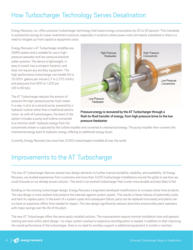# <span id="page-3-0"></span>How Turbocharger Technology Serves Desalination

Energy Recovery, Inc. offers precision turbocharger technology that lowers energy consumption by 20 to 30 percent. This translates to substantial savings for lower-investment solutions, especially in locations where power costs are heavily subsidized or there is a need to mitigate up-front capital or equipment costs.

Energy Recovery's AT Turbocharger simplifies any SWRO system and is suitable for use in highpressure seawater and low-pressure brackish water systems. The device is lightweight, is easy to install, has a compact footprint, and does not require any ancillary equipment. The high-performance turbocharger can handle 50 to 10,000+ gallons per minute (11 to 2,272 m3/hr) and pressures from 600 to 1,200 psi (45 to 80 bar).

The AT Turbocharger reduces the amount of pressure the high-pressure pump must create. In a way, it acts as a second pump, powered by a hydraulic turbine rather than a traditional electric motor. As with all turbochargers, the heart of the system includes a pump and turbine connected to a common shaft. Hydraulic energy from the



#### Pressure energy is recovered by the AT Turbocharger through a fluid-to-fluid transfer of energy, from high pressure brine to the low pressure feedwater

concentrate stream is captured by the turbine impeller and converted to mechanical energy. The pump impeller then converts the mechanical energy back to hydraulic energy, offering an additional energy boost.

Currently, Energy Recovery has more than 3,000 turbochargers installed all over the world.

### Improvements to the AT Turbocharger

The new AT turbocharger features several new design elements to further improve durability, reliability, and availability. At Energy Recovery, we studied experiences from customers and more than 3,000 turbocharger installations around the globe to see how we could innovate on our already proven solution. The result is an evolved turbocharger that is even more durable and less likely to fail.

Building on the existing turbocharger design, Energy Recovery's engineers developed modifications to increase online time at plants. The new design is more resilient and protects the internals against system upsets. This results in fewer failures of potentially costly and hard-to-replace parts. In the event of a system upset and subsequent failure, parts can be replaced more easily and plants can cut back on expensive offline time needed for repairs. The new design significantly reduces downtime and provides plant operators with major savings over the life of the plant.

The new AT Turbocharger offers the same easily installed solution. The improvements require minimal installation time and operator training and work within plant design—no major system overhaul or expensive reconfiguration is needed. In addition to their improving the overall performance of the turbocharger, there is no need for ancillary support or additional equipment to install or maintain.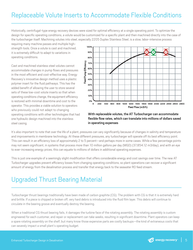# <span id="page-4-0"></span>Replaceable Volute Inserts to Accommodate Flexible Conditions

Historically, centrifugal-type energy recovery devices were sized for optimal efficiency at a single operating point. To optimize the design for specific operating conditions, a volute would be customized for a specific plant and then machined directly into the case of the turbocharger itself. Machining volutes into steel, especially 2205 Duplex Stainless Steel, is a slow, labor-intensive process

requiring many machine passes and multiple highstrength tools. Once a volute is cast and machined, it is extremely difficult to adapt to variations in operating conditions.

Cast and machined stainless steel volutes cannot accommodate changes in pump flows and pressures in the most efficient and cost-effective way. Energy Recovery's innovative design method uses a plastic polymer insert for the fluid pathways. This has the added benefit of allowing the user to store several sets of these low-cost volute inserts so that when operating conditions change, the equipment efficiency is restored with minimal downtime and cost to the operator. This provides a viable solution to operators who previously could not adapt to changing operating conditions with other technologies that had one hydraulic design machined into the stainless steel casing.



#### With replaceable volutes, the AT Turbocharger can accommodate flexible flow rates, which can translate into millions of dollars saved in operating expenses

It's also important to note that over the life of a plant, pressures can vary significantly because of changes in salinity and temperature and improvements in membrane technology. At these different pressures, any turbocharger will operate off its best efficiency point. This can result in an efficiency loss of approximately 2 to 5 percent—and perhaps more in some cases. While a few percentage points may not seem significant, in systems that process more than 10 million gallons per day (MGD) (37,854.12 m3/day), and with an eye to ever-increasing energy prices, this can equate to millions of dollars in additional operating expenses.

This is just one example of a seemingly slight modification that offers considerable energy and cost savings over time. The new AT Turbocharger upgrades prevent efficiency losses from changing operating conditions, so plant operations can recover a significant amount of energy from the desalination process and transfer that energy back to the seawater RO feed stream.

# Upgraded Thrust Bearing Material

Turbocharger thrust bearings traditionally have been made of carbon graphite (CG). The problem with CG is that it is extremely hard and brittle. If a piece is chipped or broken off, very hard debris is introduced into the fluid film layer. This debris will continue to circulate in the bearing groove and eventually destroy the bearing.

When a traditional CG thrust bearing fails, it damages the turbine face of the rotating assembly. The rotating assembly is custom engineered for each customer, and repair or replacement can take weeks, resulting in significant downtime. Plant operators can keep a spare rotating assembly on the shelf, but many know those expensive parts are costly backups—the kind of extraneous costs that can severely impact a small plant's operating budget.

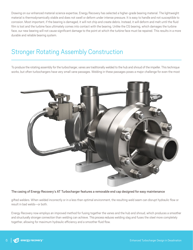<span id="page-5-0"></span>Drawing on our enhanced material science expertise, Energy Recovery has selected a higher-grade bearing material. The lightweight material is thermodynamically stable and does not swell or deform under intense pressure. It is easy to handle and not susceptible to corrosion. Most important, if the bearing is damaged, it will not chip and create debris. Instead, it will deform and melt until the fluid film is lost and the turbine face ultimately comes into contact with the bearing. Unlike the CG bearing, which damages the turbine face, our new bearing will not cause significant damage to the point at which the turbine face must be repaired. This results in a more durable and reliable bearing system.

### Stronger Rotating Assembly Construction

To produce the rotating assembly for the turbocharger, vanes are traditionally welded to the hub and shroud of the impeller. This technique works, but often turbochargers have very small vane passages. Welding in these passages poses a major challenge for even the most



#### The casing of Energy Recovery's AT Turbocharger features a removable end cap designed for easy maintenance

gifted welders. When welded incorrectly or in a less than optimal environment, the resulting weld seam can disrupt hydraulic flow or result in bad welds—or both.

Energy Recovery now employs an improved method for fusing together the vanes and the hub and shroud, which produces a smoother and structurally stronger connection than welding can achieve. This process reduces welding slag and fuses the steel more completely together, allowing for maximum hydraulic efficiency and a smoother fluid flow.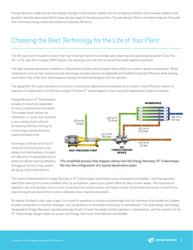<span id="page-6-0"></span>Energy Recovery made several other design changes to the turbine impeller and thrust bearing interface that increase reliability and durability and decrease potential for wear and tear against the bearing surface. The new design offers a smoother hydraulic flow path that minimizes energy waste and enhances hydraulic efficiency.

### Choosing the Best Technology for the Life of Your Plant

The life-cycle cost of a plant is one of the most important factors to consider when planning and specifying equipment. Over the 20- to 25-year life of a large SWRO facility, the operating cost will tend to exceed the initial capital investment.

The high-pressure equipment installed in a desalination facility has the largest direct effect on a plant's power consumption. When components such as high-pressure pumps and energy-recovery devices are adaptable and flexible to maintain efficiency while keeping costs down, this is the most advantageous scenario for both the designer and the operator.

The equipment life-cycle calculation is critical in choosing the appropriate components for a system. Initial efficiency matters to operators of newer plants, but the key strength of these AT Turbochargers is their long-term adaptability to plant conditions.

Energy Recovery's AT Turbochargers are easy to install and adaptable to many conditional environments. This makes them perfect for installation in newly built facilities or as a replacement solution for existing facilities looking for more energy savings and less unplanned downtime.

As energy continues to be top of mind and a critical factor in the design and maintenance of a plant, the efficiency of equipment and its ability to maintain optimal efficiency throughout the life of the system are going to be critical factors.



#### This simplified process flow diagram shows how the Energy Recovery AT Turbocharger fits into the configuration of a typical desalination plant

The recent enhancements to Energy Recovery's AT Turbocharger mean fewer spare components are needed—and that operators need little training to fix minor problems that, by comparison, used to put a plant offline for days or even weeks. This improves an operator's job, and perhaps more crucial, it improves the overall system and keeps a plant online when previously it would have required significant downtime to solve a relatively minor mechanical problem.

No matter the plant's size, type, or age, it's crucial for operators to choose a turbocharger that will continue to be reliable as it adapts to other component or condition changes, such as advances in membrane technology or pretreatment. The turbocharger technology developed by Energy Recovery was designed specifically to meet the needs of plant operators in desalination, and the evolution of the AT Turbocharger design makes our proven technology that much more efficient and reliable.